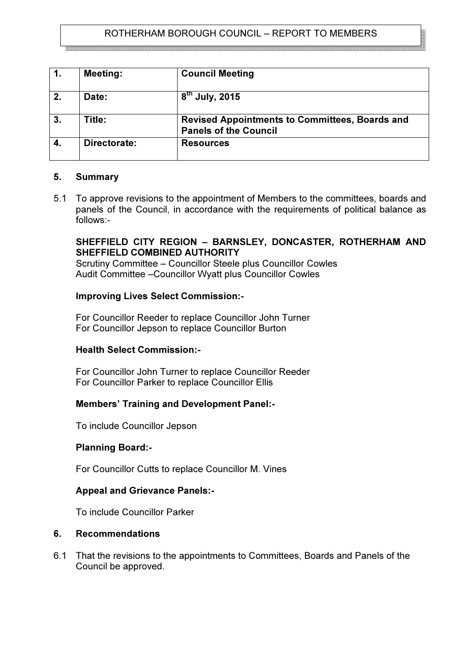# ROTHERHAM BOROUGH COUNCIL – REPORT TO MEMBERS

1. Meeting: Council Meeting  $2.$  Date:  $8<sup>th</sup>$  July, 2015 3. Title: Revised Appointments to Committees, Boards and Panels of the Council 4. Directorate: Resources

#### 5. Summary

5.1 To approve revisions to the appointment of Members to the committees, boards and panels of the Council, in accordance with the requirements of political balance as follows:-

### SHEFFIELD CITY REGION – BARNSLEY, DONCASTER, ROTHERHAM AND SHEFFIELD COMBINED AUTHORITY

Scrutiny Committee – Councillor Steele plus Councillor Cowles Audit Committee –Councillor Wyatt plus Councillor Cowles

### Improving Lives Select Commission:-

For Councillor Reeder to replace Councillor John Turner For Councillor Jepson to replace Councillor Burton

### Health Select Commission:-

For Councillor John Turner to replace Councillor Reeder For Councillor Parker to replace Councillor Ellis

### Members' Training and Development Panel:-

To include Councillor Jepson

### Planning Board:-

For Councillor Cutts to replace Councillor M. Vines

### Appeal and Grievance Panels:-

To include Councillor Parker

#### 6. Recommendations

6.1 That the revisions to the appointments to Committees, Boards and Panels of the Council be approved.